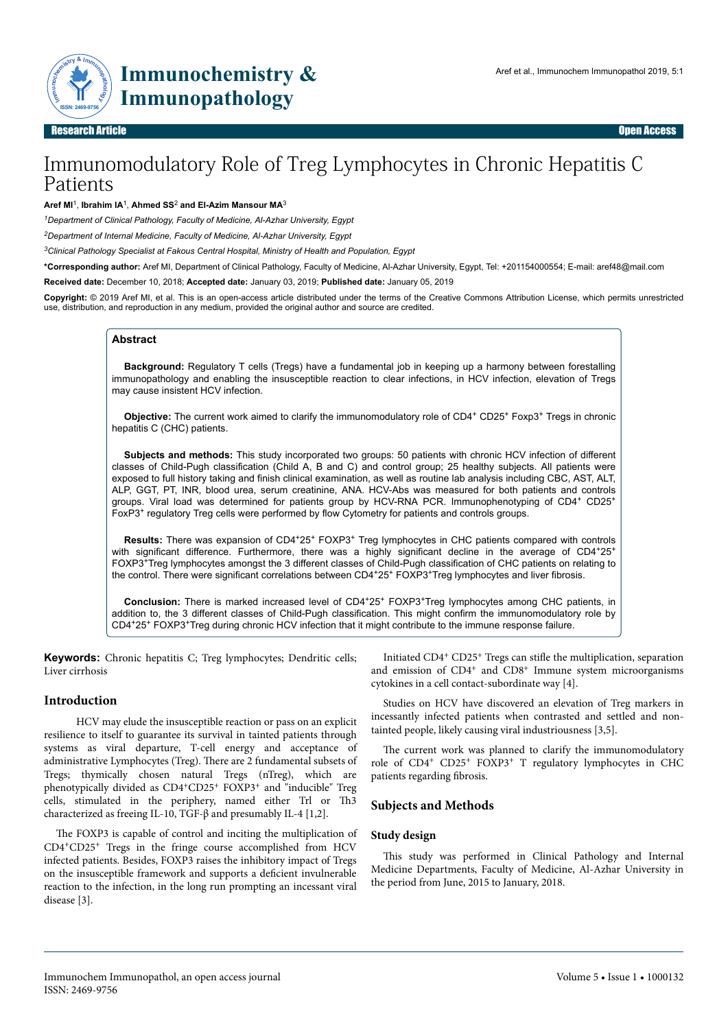

Research Article Open Access

# Immunomodulatory Role of Treg Lymphocytes in Chronic Hepatitis C Patients

**Aref MI**<sup>1</sup> , **Ibrahim IA**<sup>1</sup> , **Ahmed SS**<sup>2</sup> **and El-Azim Mansour MA**<sup>3</sup>

*<sup>1</sup>Department of Clinical Pathology, Faculty of Medicine, Al-Azhar University, Egypt*

*<sup>2</sup>Department of Internal Medicine, Faculty of Medicine, Al-Azhar University, Egypt*

*<sup>3</sup>Clinical Pathology Specialist at Fakous Central Hospital, Ministry of Health and Population, Egypt*

**\*Corresponding author:** Aref MI, Department of Clinical Pathology, Faculty of Medicine, Al-Azhar University, Egypt, Tel: +201154000554; E-mail: aref48@mail.com

**Received date:** December 10, 2018; **Accepted date:** January 03, 2019; **Published date:** January 05, 2019

**Copyright:** © 2019 Aref MI, et al. This is an open-access article distributed under the terms of the Creative Commons Attribution License, which permits unrestricted use, distribution, and reproduction in any medium, provided the original author and source are credited.

# **Abstract**

**Background:** Regulatory T cells (Tregs) have a fundamental job in keeping up a harmony between forestalling immunopathology and enabling the insusceptible reaction to clear infections, in HCV infection, elevation of Tregs may cause insistent HCV infection.

Objective: The current work aimed to clarify the immunomodulatory role of CD4<sup>+</sup> CD25<sup>+</sup> Foxp3<sup>+</sup> Tregs in chronic hepatitis C (CHC) patients.

**Subjects and methods:** This study incorporated two groups: 50 patients with chronic HCV infection of different classes of Child-Pugh classification (Child A, B and C) and control group; 25 healthy subjects. All patients were exposed to full history taking and finish clinical examination, as well as routine lab analysis including CBC, AST, ALT, ALP, GGT, PT, INR, blood urea, serum creatinine, ANA. HCV-Abs was measured for both patients and controls groups. Viral load was determined for patients group by HCV-RNA PCR. Immunophenotyping of CD4<sup>+</sup> CD25<sup>+</sup> FoxP3<sup>+</sup> regulatory Treg cells were performed by flow Cytometry for patients and controls groups.

Results: There was expansion of CD4<sup>+</sup>25<sup>+</sup> FOXP3<sup>+</sup> Treg lymphocytes in CHC patients compared with controls with significant difference. Furthermore, there was a highly significant decline in the average of CD4+25+ FOXP3+Treg lymphocytes amongst the 3 different classes of Child-Pugh classification of CHC patients on relating to the control. There were significant correlations between CD4+25+ FOXP3+Treg lymphocytes and liver fibrosis.

**Conclusion:** There is marked increased level of CD4<sup>+</sup>25<sup>+</sup> FOXP3<sup>+</sup>Treg lymphocytes among CHC patients, in addition to, the 3 different classes of Child-Pugh classification. This might confirm the immunomodulatory role by CD4+25<sup>+</sup> FOXP3+Treg during chronic HCV infection that it might contribute to the immune response failure.

**Keywords:** Chronic hepatitis C; Treg lymphocytes; Dendritic cells; Liver cirrhosis

## **Introduction**

HCV may elude the insusceptible reaction or pass on an explicit resilience to itself to guarantee its survival in tainted patients through systems as viral departure, T-cell energy and acceptance of administrative Lymphocytes (Treg). Нere are 2 fundamental subsets of Tregs; thymically chosen natural Tregs (nTreg), which are phenotypically divided as CD4<sup>+</sup>CD25<sup>+</sup> FOXP3<sup>+</sup> and "inducible" Treg cells, stimulated in the periphery, named either Trl or Th3 characterized as freeing IL-10, TGF-β and presumably IL-4 [1,2].

The FOXP3 is capable of control and inciting the multiplication of CD4+CD25<sup>+</sup> Tregs in the fringe course accomplished from HCV infected patients. Besides, FOXP3 raises the inhibitory impact of Tregs on the insusceptible framework and supports a deficient invulnerable reaction to the infection, in the long run prompting an incessant viral disease [3].

Initiated CD4<sup>+</sup> CD25<sup>+</sup> Tregs can stifle the multiplication, separation and emission of CD4<sup>+</sup> and CD8<sup>+</sup> Immune system microorganisms cytokines in a cell contact-subordinate way [4].

Studies on HCV have discovered an elevation of Treg markers in incessantly infected patients when contrasted and settled and nontainted people, likely causing viral industriousness [3,5].

The current work was planned to clarify the immunomodulatory role of CD4<sup>+</sup> CD25<sup>+</sup> FOXP3<sup>+</sup> T regulatory lymphocytes in CHC patients regarding fibrosis.

## **Subjects and Methods**

## **Study design**

This study was performed in Clinical Pathology and Internal Medicine Departments, Faculty of Medicine, Al-Azhar University in the period from June, 2015 to January, 2018.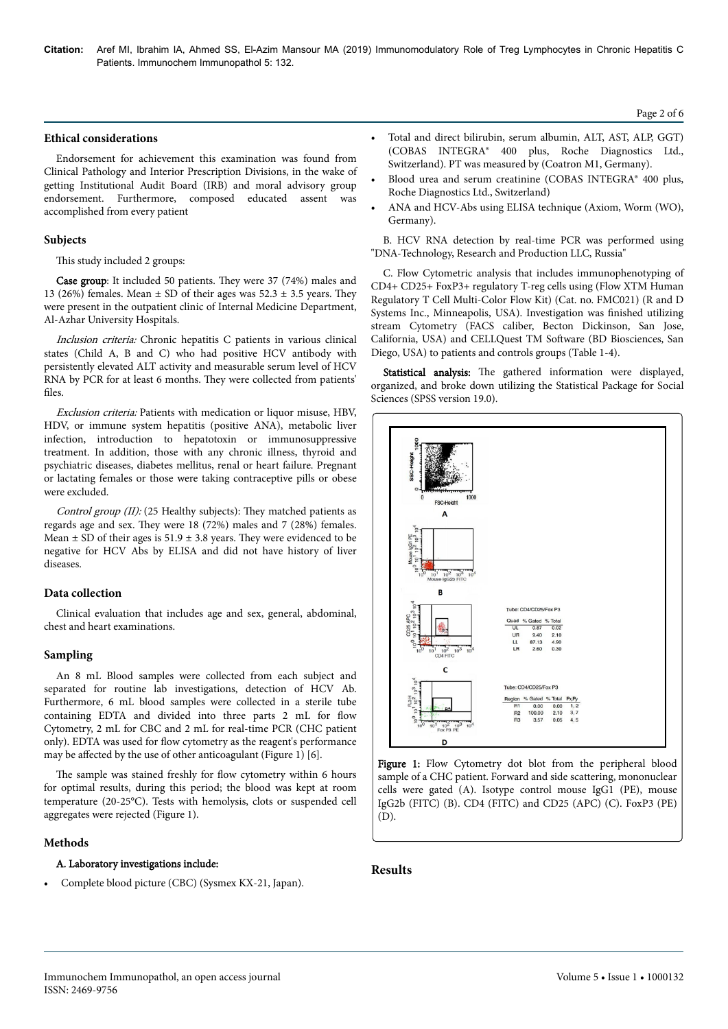**Citation:** Aref MI, Ibrahim IA, Ahmed SS, El-Azim Mansour MA (2019) Immunomodulatory Role of Treg Lymphocytes in Chronic Hepatitis C Patients. Immunochem Immunopathol 5: 132.

#### **Ethical considerations**

Endorsement for achievement this examination was found from Clinical Pathology and Interior Prescription Divisions, in the wake of getting Institutional Audit Board (IRB) and moral advisory group endorsement. Furthermore, composed educated assent was accomplished from every patient

## **Subjects**

#### This study included 2 groups:

Case group: It included 50 patients. They were 37 (74%) males and 13 (26%) females. Mean  $\pm$  SD of their ages was 52.3  $\pm$  3.5 years. They were present in the outpatient clinic of Internal Medicine Department, Al-Azhar University Hospitals.

Inclusion criteria: Chronic hepatitis C patients in various clinical states (Child A, B and C) who had positive HCV antibody with persistently elevated ALT activity and measurable serum level of HCV RNA by PCR for at least 6 months. They were collected from patients' files.

Exclusion criteria: Patients with medication or liquor misuse, HBV, HDV, or immune system hepatitis (positive ANA), metabolic liver infection, introduction to hepatotoxin or immunosuppressive treatment. In addition, those with any chronic illness, thyroid and psychiatric diseases, diabetes mellitus, renal or heart failure. Pregnant or lactating females or those were taking contraceptive pills or obese were excluded.

Control group (II): (25 Healthy subjects): They matched patients as regards age and sex. They were 18 (72%) males and 7 (28%) females. Mean  $\pm$  SD of their ages is 51.9  $\pm$  3.8 years. They were evidenced to be negative for HCV Abs by ELISA and did not have history of liver diseases.

## **Data collection**

Clinical evaluation that includes age and sex, general, abdominal, chest and heart examinations.

#### **Sampling**

An 8 mL Blood samples were collected from each subject and separated for routine lab investigations, detection of HCV Ab. Furthermore, 6 mL blood samples were collected in a sterile tube containing EDTA and divided into three parts 2 mL for flow Cytometry, 2 mL for CBC and 2 mL for real-time PCR (CHC patient only). EDTA was used for flow cytometry as the reagent's performance may be affected by the use of other anticoagulant (Figure 1) [6].

The sample was stained freshly for flow cytometry within 6 hours for optimal results, during this period; the blood was kept at room temperature (20-25°C). Tests with hemolysis, clots or suspended cell aggregates were rejected (Figure 1).

#### **Methods**

## A. Laboratory investigations include:

• Complete blood picture (CBC) (Sysmex KX-21, Japan).

- Total and direct bilirubin, serum albumin, ALT, AST, ALP, GGT) (COBAS INTEGRA® 400 plus, Roche Diagnostics Ltd., Switzerland). PT was measured by (Coatron M1, Germany).
- Blood urea and serum creatinine (COBAS INTEGRA® 400 plus, Roche Diagnostics Ltd., Switzerland)
- ANA and HCV-Abs using ELISA technique (Axiom, Worm (WO), Germany).

B. HCV RNA detection by real-time PCR was performed using "DNA-Technology, Research and Production LLC, Russia"

C. Flow Cytometric analysis that includes immunophenotyping of CD4+ CD25+ FoxP3+ regulatory T-reg cells using (Flow XTM Human Regulatory T Cell Multi-Color Flow Kit) (Cat. no. FMC021) (R and D Systems Inc., Minneapolis, USA). Investigation was finished utilizing stream Cytometry (FACS caliber, Becton Dickinson, San Jose, California, USA) and CELLQuest TM Software (BD Biosciences, San Diego, USA) to patients and controls groups (Table 1-4).

Statistical analysis: The gathered information were displayed, organized, and broke down utilizing the Statistical Package for Social Sciences (SPSS version 19.0).



Figure 1: Flow Cytometry dot blot from the peripheral blood sample of a CHC patient. Forward and side scattering, mononuclear cells were gated (A). Isotype control mouse IgG1 (PE), mouse IgG2b (FITC) (B). CD4 (FITC) and CD25 (APC) (C). FoxP3 (PE) (D).

# **Results**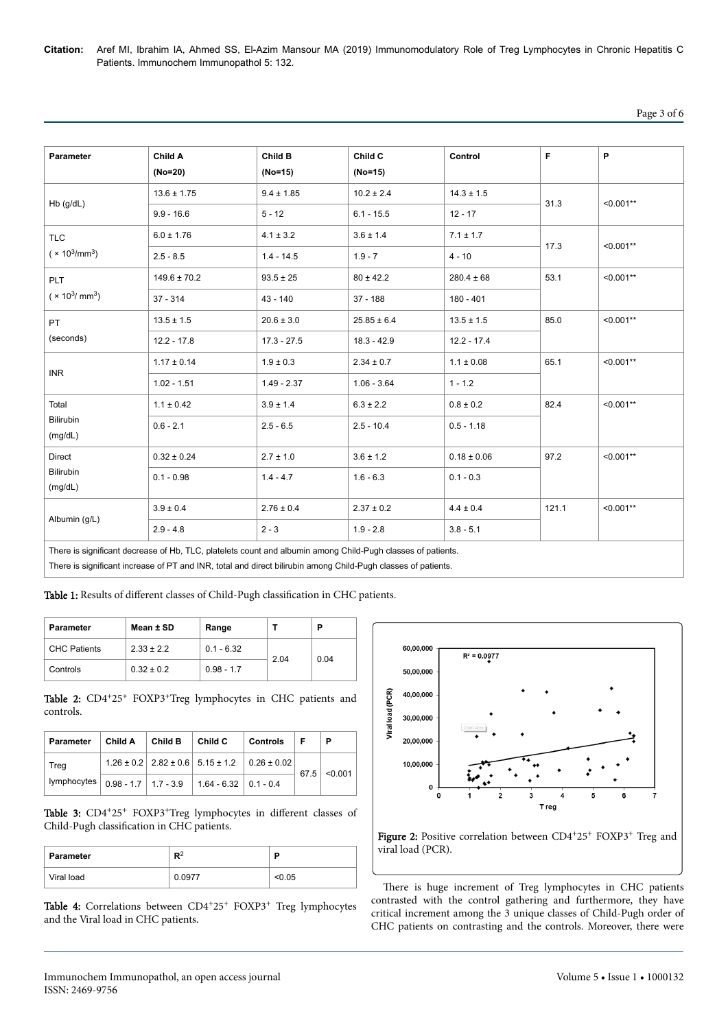**Citation:** Aref MI, Ibrahim IA, Ahmed SS, El-Azim Mansour MA (2019) Immunomodulatory Role of Treg Lymphocytes in Chronic Hepatitis C Patients. Immunochem Immunopathol 5: 132.

# Page 3 of 6

| Parameter                                    | Child A<br>(No=20) | Child B<br>(No=15) | Child C<br>$(No=15)$ | Control         | F     | P           |
|----------------------------------------------|--------------------|--------------------|----------------------|-----------------|-------|-------------|
| $Hb$ (g/dL)                                  | $13.6 \pm 1.75$    | $9.4 \pm 1.85$     | $10.2 \pm 2.4$       | $14.3 \pm 1.5$  | 31.3  | $< 0.001**$ |
|                                              | $9.9 - 16.6$       | $5 - 12$           | $6.1 - 15.5$         | $12 - 17$       |       |             |
| <b>TLC</b><br>$(x 10^3/\text{mm}^3)$         | $6.0 \pm 1.76$     | $4.1 \pm 3.2$      | $3.6 \pm 1.4$        | $7.1 \pm 1.7$   | 17.3  | $< 0.001**$ |
|                                              | $2.5 - 8.5$        | $1.4 - 14.5$       | $1.9 - 7$            | $4 - 10$        |       |             |
| <b>PLT</b><br>$(x 10^3/mm^3)$                | $149.6 \pm 70.2$   | $93.5 \pm 25$      | $80 \pm 42.2$        | $280.4 \pm 68$  | 53.1  | $< 0.001**$ |
|                                              | $37 - 314$         | $43 - 140$         | $37 - 188$           | $180 - 401$     |       |             |
| <b>PT</b><br>(seconds)                       | $13.5 \pm 1.5$     | $20.6 \pm 3.0$     | $25.85 \pm 6.4$      | $13.5 \pm 1.5$  | 85.0  | $< 0.001**$ |
|                                              | $12.2 - 17.8$      | $17.3 - 27.5$      | $18.3 - 42.9$        | $12.2 - 17.4$   |       |             |
| <b>INR</b>                                   | $1.17 \pm 0.14$    | $1.9 \pm 0.3$      | $2.34 \pm 0.7$       | $1.1 \pm 0.08$  | 65.1  | $< 0.001**$ |
|                                              | $1.02 - 1.51$      | $1.49 - 2.37$      | $1.06 - 3.64$        | $1 - 1.2$       |       |             |
| Total<br><b>Bilirubin</b><br>(mg/dL)         | $1.1 \pm 0.42$     | $3.9 \pm 1.4$      | $6.3 \pm 2.2$        | $0.8 \pm 0.2$   | 82.4  | $< 0.001**$ |
|                                              | $0.6 - 2.1$        | $2.5 - 6.5$        | $2.5 - 10.4$         | $0.5 - 1.18$    |       |             |
| <b>Direct</b><br><b>Bilirubin</b><br>(mg/dL) | $0.32 \pm 0.24$    | $2.7 \pm 1.0$      | $3.6 \pm 1.2$        | $0.18 \pm 0.06$ | 97.2  | $< 0.001**$ |
|                                              | $0.1 - 0.98$       | $1.4 - 4.7$        | $1.6 - 6.3$          | $0.1 - 0.3$     |       |             |
| Albumin (g/L)                                | $3.9 \pm 0.4$      | $2.76 \pm 0.4$     | $2.37 \pm 0.2$       | $4.4 \pm 0.4$   | 121.1 | $< 0.001**$ |
|                                              | $2.9 - 4.8$        | $2 - 3$            | $1.9 - 2.8$          | $3.8 - 5.1$     |       |             |

There is significant decrease of Hb, TLC, platelets count and albumin among Child-Pugh classes of patients.

There is significant increase of PT and INR, total and direct bilirubin among Child-Pugh classes of patients.

Table 1: Results of different classes of Child-Pugh classification in CHC patients.

| <b>Parameter</b>    | Mean ± SD      | Range        |      | Р    |
|---------------------|----------------|--------------|------|------|
| <b>CHC Patients</b> | $2.33 \pm 2.2$ | $0.1 - 6.32$ | 2.04 | 0.04 |
| Controls            | $0.32 \pm 0.2$ | $0.98 - 1.7$ |      |      |

Table 2: CD4+25+ FOXP3+Treg lymphocytes in CHC patients and controls.

| Parameter   | Child A | Child B | Child C                                            | <b>Controls</b>                                                    | -F   | Р       |
|-------------|---------|---------|----------------------------------------------------|--------------------------------------------------------------------|------|---------|
| Treg        |         |         |                                                    | $1.26 \pm 0.2$   $2.82 \pm 0.6$   $5.15 \pm 1.2$   $0.26 \pm 0.02$ | 67.5 | < 0.001 |
| lymplocytes |         |         | $0.98 - 1.7$   1.7 - 3.9   1.64 - 6.32   0.1 - 0.4 |                                                                    |      |         |

Table 3: CD4+25+ FOXP3+Treg lymphocytes in different classes of Child-Pugh classification in CHC patients.

| <b>Parameter</b> | в2     | в     |
|------------------|--------|-------|
| Viral load       | 0.0977 | <0.05 |

Table 4: Correlations between CD4+25+ FOXP3+ Treg lymphocytes and the Viral load in CHC patients.



Figure 2: Positive correlation between CD4+25+ FOXP3+ Treg and viral load (PCR).

There is huge increment of Treg lymphocytes in CHC patients contrasted with the control gathering and furthermore, they have critical increment among the 3 unique classes of Child-Pugh order of CHC patients on contrasting and the controls. Moreover, there were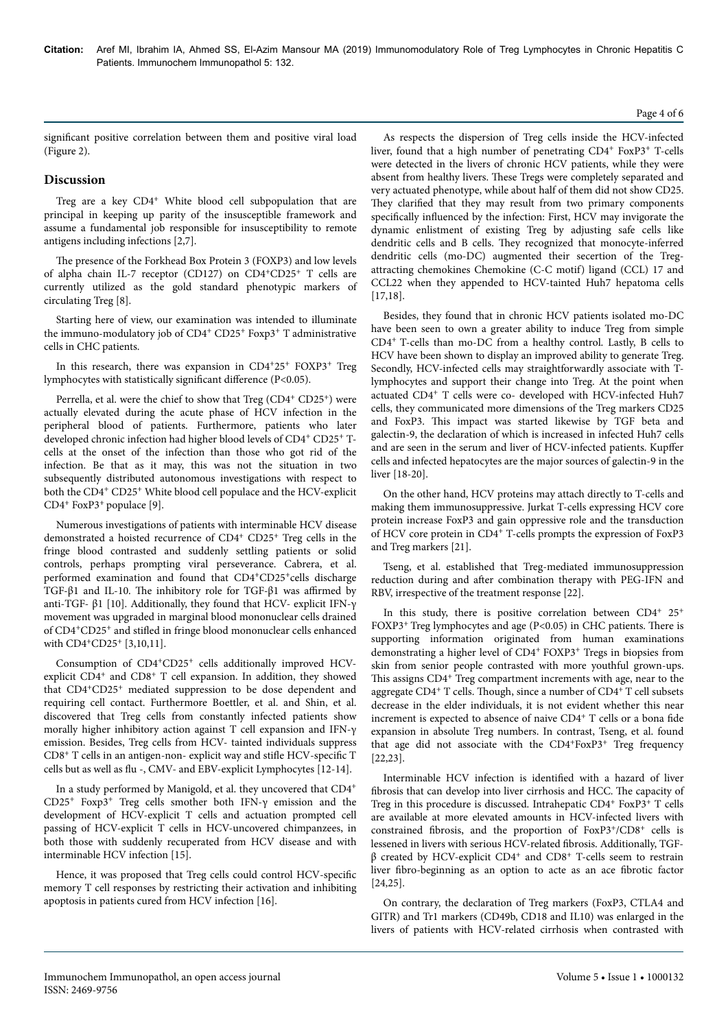# Page 4 of 6

significant positive correlation between them and positive viral load (Figure 2).

# **Discussion**

Treg are a key CD4<sup>+</sup> White blood cell subpopulation that are principal in keeping up parity of the insusceptible framework and assume a fundamental job responsible for insusceptibility to remote antigens including infections [2,7].

The presence of the Forkhead Box Protein 3 (FOXP3) and low levels of alpha chain IL-7 receptor (CD127) on CD4+CD25<sup>+</sup> T cells are currently utilized as the gold standard phenotypic markers of circulating Treg [8].

Starting here of view, our examination was intended to illuminate the immuno-modulatory job of CD4<sup>+</sup> CD25<sup>+</sup> Foxp3<sup>+</sup> T administrative cells in CHC patients.

In this research, there was expansion in CD4+25<sup>+</sup> FOXP3<sup>+</sup> Treg lymphocytes with statistically significant difference (P<0.05).

Perrella, et al. were the chief to show that Treg (CD4<sup>+</sup> CD25<sup>+</sup>) were actually elevated during the acute phase of HCV infection in the peripheral blood of patients. Furthermore, patients who later developed chronic infection had higher blood levels of CD4<sup>+</sup> CD25<sup>+</sup> Tcells at the onset of the infection than those who got rid of the infection. Be that as it may, this was not the situation in two subsequently distributed autonomous investigations with respect to both the CD4<sup>+</sup> CD25<sup>+</sup> White blood cell populace and the HCV-explicit CD4<sup>+</sup> FoxP3+ populace [9].

Numerous investigations of patients with interminable HCV disease demonstrated a hoisted recurrence of CD4<sup>+</sup> CD25<sup>+</sup> Treg cells in the fringe blood contrasted and suddenly settling patients or solid controls, perhaps prompting viral perseverance. Cabrera, et al. performed examination and found that CD4+CD25<sup>+</sup> cells discharge TGF-β1 and IL-10. The inhibitory role for TGF-β1 was affirmed by anti-TGF- β1 [10]. Additionally, they found that HCV- explicit IFN-γ movement was upgraded in marginal blood mononuclear cells drained of CD4+CD25<sup>+</sup> and stifled in fringe blood mononuclear cells enhanced with CD4+CD25<sup>+</sup> [3,10,11].

Consumption of CD4<sup>+</sup>CD25<sup>+</sup> cells additionally improved HCVexplicit CD4<sup>+</sup> and CD8<sup>+</sup> T cell expansion. In addition, they showed that CD4+CD25<sup>+</sup> mediated suppression to be dose dependent and requiring cell contact. Furthermore Boettler, et al. and Shin, et al. discovered that Treg cells from constantly infected patients show morally higher inhibitory action against T cell expansion and IFN-γ emission. Besides, Treg cells from HCV- tainted individuals suppress CD8<sup>+</sup> T cells in an antigen-non- explicit way and stifle HCV-specific T cells but as well as flu -, CMV- and EBV-explicit Lymphocytes [12-14].

In a study performed by Manigold, et al. they uncovered that CD4<sup>+</sup> CD25<sup>+</sup> Foxp3<sup>+</sup> Treg cells smother both IFN-γ emission and the development of HCV-explicit T cells and actuation prompted cell passing of HCV-explicit T cells in HCV-uncovered chimpanzees, in both those with suddenly recuperated from HCV disease and with interminable HCV infection [15].

Hence, it was proposed that Treg cells could control HC9-specific memory T cell responses by restricting their activation and inhibiting apoptosis in patients cured from HCV infection [16].

As respects the dispersion of Treg cells inside the HCV-infected liver, found that a high number of penetrating CD4<sup>+</sup> FoxP3<sup>+</sup> T-cells were detected in the livers of chronic HCV patients, while they were absent from healthy livers. Нese Tregs were completely separated and very actuated phenotype, while about half of them did not show CD25. They clarified that they may result from two primary components specifically influenced by the infection: First, HCV may invigorate the dynamic enlistment of existing Treg by adjusting safe cells like dendritic cells and B cells. They recognized that monocyte-inferred dendritic cells (mo-DC) augmented their secertion of the Tregattracting chemokines Chemokine (C-C motif) ligand (CCL) 17 and CCL22 when they appended to HCV-tainted Huh7 hepatoma cells [17,18].

Besides, they found that in chronic HCV patients isolated mo-DC have been seen to own a greater ability to induce Treg from simple CD4+ T-cells than mo-DC from a healthy control. Lastly, B cells to HCV have been shown to display an improved ability to generate Treg. Secondly, HCV-infected cells may straightforwardly associate with Tlymphocytes and support their change into Treg. At the point when actuated CD4<sup>+</sup> T cells were co- developed with HCV-infected Huh7 cells, they communicated more dimensions of the Treg markers CD25 and FoxP3. Нis impact was started likewise by TGF beta and galectin-9, the declaration of which is increased in infected Huh7 cells and are seen in the serum and liver of HCV-infected patients. Kupffer cells and infected hepatocytes are the major sources of galectin-9 in the liver [18-20].

On the other hand, HCV proteins may attach directly to T-cells and making them immunosuppressive. Jurkat T-cells expressing HCV core protein increase FoxP3 and gain oppressive role and the transduction of HCV core protein in CD4<sup>+</sup> T-cells prompts the expression of FoxP3 and Treg markers [21].

Tseng, et al. established that Treg-mediated immunosuppression reduction during and after combination therapy with PEG-IFN and RBV, irrespective of the treatment response [22].

In this study, there is positive correlation between CD4<sup>+</sup> 25<sup>+</sup> FOXP3+ Treg lymphocytes and age (P<0.05) in CHC patients. Нere is supporting information originated from human examinations demonstrating a higher level of CD4<sup>+</sup> FOXP3<sup>+</sup> Tregs in biopsies from skin from senior people contrasted with more youthful grown-ups. This assigns CD4<sup>+</sup> Treg compartment increments with age, near to the aggregate CD4<sup>+</sup> T cells. Though, since a number of CD4<sup>+</sup> T cell subsets decrease in the elder individuals, it is not evident whether this near increment is expected to absence of naive CD4<sup>+</sup> T cells or a bona fide expansion in absolute Treg numbers. In contrast, Tseng, et al. found that age did not associate with the CD4+FoxP3+ Treg frequency [22,23].

Interminable HCV infection is identified with a hazard of liver fibrosis that can develop into liver cirrhosis and HCC. Нe capacity of Treg in this procedure is discussed. Intrahepatic CD4<sup>+</sup> FoxP3<sup>+</sup> T cells are available at more elevated amounts in HCV-infected livers with constrained fibrosis, and the proportion of FoxP3+/CD8+ cells is lessened in livers with serious HCV-related fibrosis. Additionally, TGF $β$  created by HCV-explicit CD4<sup>+</sup> and CD8<sup>+</sup> T-cells seem to restrain liver fibro-beginning as an option to acte as an ace fibrotic factor [24,25].

On contrary, the declaration of Treg markers (FoxP3, CTLA4 and GITR) and Tr1 markers (CD49b, CD18 and IL10) was enlarged in the livers of patients with HCV-related cirrhosis when contrasted with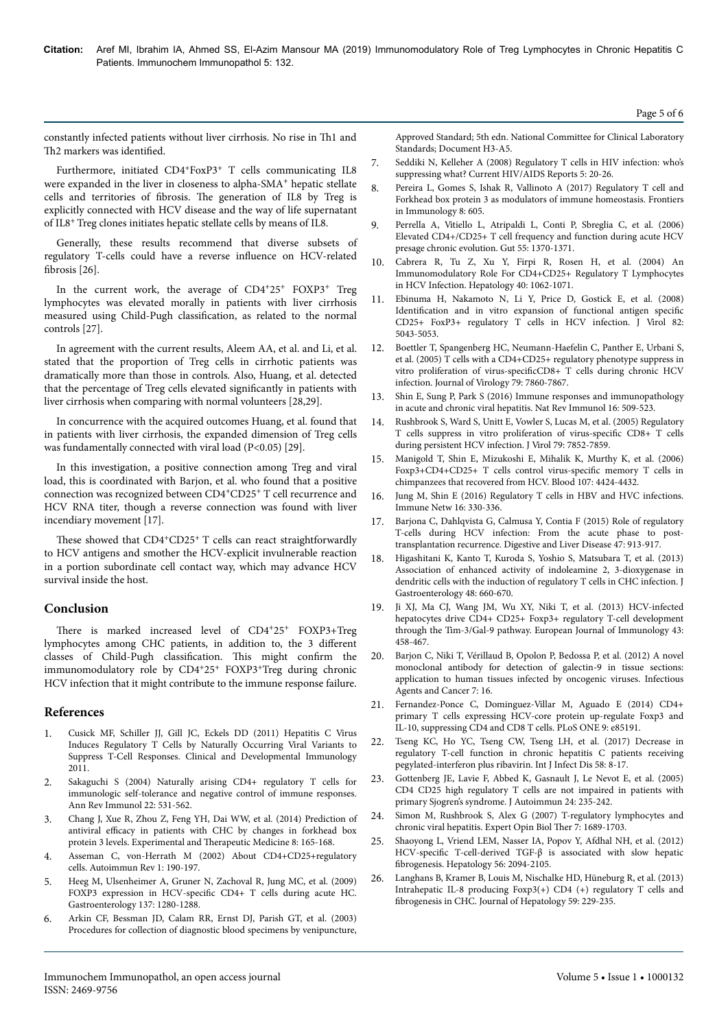constantly infected patients without liver cirrhosis. No rise in Н1 and Th<sub>2</sub> markers was identified.

Furthermore, initiated CD4<sup>+</sup>FoxP3<sup>+</sup> T cells communicating IL8 were expanded in the liver in closeness to alpha-SMA<sup>+</sup> hepatic stellate cells and territories of fibrosis. Нe generation of IL8 by Treg is explicitly connected with HCV disease and the way of life supernatant of IL8+ Treg clones initiates hepatic stellate cells by means of IL8.

Generally, these results recommend that diverse subsets of regulatory T-cells could have a reverse influence on HCV-related fibrosis [26].

In the current work, the average of CD4+25<sup>+</sup> FOXP3<sup>+</sup> Treg lymphocytes was elevated morally in patients with liver cirrhosis measured using Child-Pugh classification, as related to the normal controls [27].

In agreement with the current results, Aleem AA, et al. and Li, et al. stated that the proportion of Treg cells in cirrhotic patients was dramatically more than those in controls. Also, Huang, et al. detected that the percentage of Treg cells elevated significantly in patients with liver cirrhosis when comparing with normal volunteers [28,29].

In concurrence with the acquired outcomes Huang, et al. found that in patients with liver cirrhosis, the expanded dimension of Treg cells was fundamentally connected with viral load (P<0.05) [29].

In this investigation, a positive connection among Treg and viral load, this is coordinated with Barjon, et al. who found that a positive connection was recognized between CD4+CD25<sup>+</sup> T cell recurrence and HCV RNA titer, though a reverse connection was found with liver incendiary movement [17].

These showed that CD4<sup>+</sup>CD25<sup>+</sup> T cells can react straightforwardly to HCV antigens and smother the HCV-explicit invulnerable reaction in a portion subordinate cell contact way, which may advance HCV survival inside the host.

# **Conclusion**

There is marked increased level of CD4+25+ FOXP3+Treg lymphocytes among CHC patients, in addition to, the 3 different classes of Child-Pugh classification. Нis might confirm the immunomodulatory role by CD4+25<sup>+</sup> FOXP3+Treg during chronic HCV infection that it might contribute to the immune response failure.

# **References**

- 1. [Cusick MF, Schiller JJ, Gill JC, Eckels DD \(2011\) Hepatitis C Virus](https://www.hindawi.com/journals/jir/2011/806061/) [Induces Regulatory T Cells by Naturally Occurring Viral Variants to](https://www.hindawi.com/journals/jir/2011/806061/) [Suppress T-Cell Responses. Clinical and Developmental Immunology](https://www.hindawi.com/journals/jir/2011/806061/) [2011.](https://www.hindawi.com/journals/jir/2011/806061/)
- 2. [Sakaguchi S \(2004\) Naturally arising CD4+ regulatory T cells for](https://www.annualreviews.org/doi/10.1146/annurev.immunol.21.120601.141122) [immunologic self-tolerance and negative control of immune responses.](https://www.annualreviews.org/doi/10.1146/annurev.immunol.21.120601.141122) [Ann Rev Immunol 22: 531-562.](https://www.annualreviews.org/doi/10.1146/annurev.immunol.21.120601.141122)
- 3. [Chang J, Xue R, Zhou Z, Feng YH, Dai WW, et al. \(2014\) Prediction of](http://europepmc.org/abstract/med/24944616) antiviral efficacy [in patients with CHC by changes in forkhead box](http://europepmc.org/abstract/med/24944616) [protein 3 levels. Experimental and](http://europepmc.org/abstract/med/24944616) Нerapeutic Medicine 8: 165-168.
- 4. Asseman C, von-Herrath M (2002) About CD4+CD25+regulatory cells. Autoimmun Rev 1: 190-197.
- 5. [Heeg M, Ulsenheimer A, Gruner N, Zachoval R, Jung MC, et al. \(2009\)](https://www.gastrojournal.org/article/S0016-5085(09)01147-0/fulltext) FOXP3 expression in HCV-specific [CD4+ T cells during acute HC.](https://www.gastrojournal.org/article/S0016-5085(09)01147-0/fulltext) [Gastroenterology 137: 1280-1288.](https://www.gastrojournal.org/article/S0016-5085(09)01147-0/fulltext)
- 6. [Arkin CF, Bessman JD, Calam RR, Ernst DJ, Parish GT, et al. \(2003\)](http://www.zxyjhjy.com/upload/attached/file/20170406/20170406162814_7241.pdf) [Procedures for collection of diagnostic blood specimens by venipuncture,](http://www.zxyjhjy.com/upload/attached/file/20170406/20170406162814_7241.pdf)

[Approved Standard; 5th edn. National Committee for Clinical Laboratory](http://www.zxyjhjy.com/upload/attached/file/20170406/20170406162814_7241.pdf) [Standards; Document H3-A5.](http://www.zxyjhjy.com/upload/attached/file/20170406/20170406162814_7241.pdf)

- 7. [Seddiki N, Kelleher A \(2008\) Regulatory T cells in HIV infection: who's](https://link.springer.com/article/10.1007/s11904-008-0004-6) [suppressing what? Current HIV/AIDS Reports 5: 20-26.](https://link.springer.com/article/10.1007/s11904-008-0004-6)
- 8. [Pereira L, Gomes S, Ishak R, Vallinoto A \(2017\) Regulatory T cell and](https://www.frontiersin.org/articles/10.3389/fimmu.2017.00605/full) [Forkhead box protein 3 as modulators of immune homeostasis. Frontiers](https://www.frontiersin.org/articles/10.3389/fimmu.2017.00605/full) [in Immunology 8: 605.](https://www.frontiersin.org/articles/10.3389/fimmu.2017.00605/full)
- 9. [Perrella A, Vitiello L, Atripaldi L, Conti P, Sbreglia C, et al. \(2006\)](https://gut.bmj.com/content/55/9/1370) [Elevated CD4+/CD25+ T cell frequency and function during acute HCV](https://gut.bmj.com/content/55/9/1370) [presage chronic evolution. Gut 55: 1370-1371.](https://gut.bmj.com/content/55/9/1370)
- 10. [Cabrera R, Tu Z, Xu Y, Firpi R, Rosen H, et al. \(2004\) An](https://aasldpubs.onlinelibrary.wiley.com/doi/epdf/10.1002/hep.20454) [Immunomodulatory Role For CD4+CD25+ Regulatory T Lymphocytes](https://aasldpubs.onlinelibrary.wiley.com/doi/epdf/10.1002/hep.20454) [in HCV Infection. Hepatology 40: 1062-1071.](https://aasldpubs.onlinelibrary.wiley.com/doi/epdf/10.1002/hep.20454)
- 11. [Ebinuma H, Nakamoto N, Li Y, Price D, Gostick E, et al. \(2008\)](https://jvi.asm.org/content/82/10/5043) Identification [and in vitro expansion of functional antigen](https://jvi.asm.org/content/82/10/5043) specific [CD25+ FoxP3+ regulatory T cells in HCV infection. J Virol 82:](https://jvi.asm.org/content/82/10/5043) [5043-5053.](https://jvi.asm.org/content/82/10/5043)
- 12. [Boettler T, Spangenberg HC, Neumann-Haefelin C, Panther E, Urbani S,](https://jvi.asm.org/content/79/12/7860) [et al. \(2005\) T cells with a CD4+CD25+ regulatory phenotype suppress in](https://jvi.asm.org/content/79/12/7860) vitro proliferation of virus-specific $CD8+$  [T cells during chronic HCV](https://jvi.asm.org/content/79/12/7860) [infection. Journal of Virology 79: 7860-7867.](https://jvi.asm.org/content/79/12/7860)
- 13. [Shin E, Sung P, Park S \(2016\) Immune responses and immunopathology](https://www.nature.com/articles/nri.2016.69) [in acute and chronic viral hepatitis. Nat Rev Immunol 16: 509-523.](https://www.nature.com/articles/nri.2016.69)
- 14. [Rushbrook S, Ward S, Unitt E, Vowler S, Lucas M, et al. \(2005\) Regulatory](https://jvi.asm.org/content/79/12/7852) [T cells suppress in vitro proliferation of](https://jvi.asm.org/content/79/12/7852) virus-specific CD8+ T cells [during persistent HCV infection. J Virol 79: 7852-7859.](https://jvi.asm.org/content/79/12/7852)
- 15. [Manigold T, Shin E, Mizukoshi E, Mihalik K, Murthy K, et al. \(2006\)](https://www.researchgate.net/publication/7297894_Foxp3CD4CD25_T_cells_control_virus-specific_memory_T_cells_in_chimpanzees_that_recovered_from_hepatitis_C) [Foxp3+CD4+CD25+ T cells control](https://www.researchgate.net/publication/7297894_Foxp3CD4CD25_T_cells_control_virus-specific_memory_T_cells_in_chimpanzees_that_recovered_from_hepatitis_C) virus-specific memory T cells in [chimpanzees that recovered from HCV. Blood 107: 4424-4432.](https://www.researchgate.net/publication/7297894_Foxp3CD4CD25_T_cells_control_virus-specific_memory_T_cells_in_chimpanzees_that_recovered_from_hepatitis_C)
- 16. [Jung M, Shin E \(2016\) Regulatory T cells in HBV and HVC infections.](https://immunenetwork.org/search.php?where=aview&id=10.4110/in.2016.16.6.330&code=0078IN&vmode=FT) [Immune Netw 16: 330-336.](https://immunenetwork.org/search.php?where=aview&id=10.4110/in.2016.16.6.330&code=0078IN&vmode=FT)
- 17. [Barjona C, Dahlqvista G, Calmusa Y, Contia F \(2015\) Role of regulatory](https://www.dldjournalonline.com/article/S1590-8658(15)00382-5/fulltext) [T-cells during HCV infection: From the acute phase to post](https://www.dldjournalonline.com/article/S1590-8658(15)00382-5/fulltext)[transplantation recurrence. Digestive and Liver Disease 47: 913-917.](https://www.dldjournalonline.com/article/S1590-8658(15)00382-5/fulltext)
- 18. [Higashitani K, Kanto T, Kuroda S, Yoshio S, Matsubara T, et al. \(2013\)](https://app.dimensions.ai/details/publication/pub.1036777253) [Association of enhanced activity of indoleamine 2, 3-dioxygenase in](https://app.dimensions.ai/details/publication/pub.1036777253) [dendritic cells with the induction of regulatory T cells in CHC infection. J](https://app.dimensions.ai/details/publication/pub.1036777253) [Gastroenterology 48: 660-670.](https://app.dimensions.ai/details/publication/pub.1036777253)
- 19. [Ji XJ, Ma CJ, Wang JM, Wu XY, Niki T, et al. \(2013\) HCV-infected](https://onlinelibrary.wiley.com/doi/full/10.1002/eji.201242768) [hepatocytes drive CD4+ CD25+ Foxp3+ regulatory T-cell development](https://onlinelibrary.wiley.com/doi/full/10.1002/eji.201242768) [through the Tim-3/Gal-9 pathway. European Journal of Immunology 43:](https://onlinelibrary.wiley.com/doi/full/10.1002/eji.201242768) [458-467.](https://onlinelibrary.wiley.com/doi/full/10.1002/eji.201242768)
- 20. [Barjon C, Niki T, Vérillaud B, Opolon P, Bedossa P, et al. \(2012\) A novel](https://infectagentscancer.biomedcentral.com/articles/10.1186/1750-9378-7-16) [monoclonal antibody for detection of galectin-9 in tissue sections:](https://infectagentscancer.biomedcentral.com/articles/10.1186/1750-9378-7-16) [application to human tissues infected by oncogenic viruses. Infectious](https://infectagentscancer.biomedcentral.com/articles/10.1186/1750-9378-7-16) [Agents and Cancer 7: 16.](https://infectagentscancer.biomedcentral.com/articles/10.1186/1750-9378-7-16)
- 21. [Fernandez-Ponce C, Dominguez-Villar M, Aguado E \(2014\) CD4+](https://journals.plos.org/plosone/article?id=10.1371/journal.pone.0085191) [primary T cells expressing HCV-core protein up-regulate Foxp3 and](https://journals.plos.org/plosone/article?id=10.1371/journal.pone.0085191) [IL-10, suppressing CD4 and CD8 T cells. PLoS ONE 9: e85191.](https://journals.plos.org/plosone/article?id=10.1371/journal.pone.0085191)
- 22. [Tseng KC, Ho YC, Tseng CW, Tseng LH, et al. \(2017\) Decrease in](https://www.ijidonline.com/article/S1201-9712(17)30062-0/abstract) [regulatory T-cell function in chronic hepatitis C patients receiving](https://www.ijidonline.com/article/S1201-9712(17)30062-0/abstract) [pegylated-interferon plus ribavirin. Int J Infect Dis 58: 8-17.](https://www.ijidonline.com/article/S1201-9712(17)30062-0/abstract)
- 23. [Gottenberg JE, Lavie F, Abbed K, Gasnault J, Le Nevot E, et al. \(2005\)](https://www.researchgate.net/publication/7889683_CD4_CD25_regulatory_T_cells_are_not_impaired_in_patients_with_primary_Sjogren) [CD4 CD25 high regulatory T cells are not impaired in patients with](https://www.researchgate.net/publication/7889683_CD4_CD25_regulatory_T_cells_are_not_impaired_in_patients_with_primary_Sjogren) [primary Sjogren's syndrome. J Autoimmun 24: 235-242.](https://www.researchgate.net/publication/7889683_CD4_CD25_regulatory_T_cells_are_not_impaired_in_patients_with_primary_Sjogren)
- [Simon M, Rushbrook S, Alex G \(2007\) T-regulatory lymphocytes and](https://app.dimensions.ai/details/publication/pub.1067589828) [chronic viral hepatitis. Expert Opin Biol](https://app.dimensions.ai/details/publication/pub.1067589828) Нer 7: 1689-1703.
- 25. [Shaoyong L, Vriend LEM, Nasser IA, Popov Y, Afdhal NH, et al. \(2012\)](https://aasldpubs.onlinelibrary.wiley.com/doi/full/10.1002/hep.25951) HCV-specific [T-cell-derived TGF-β is associated with slow hepatic](https://aasldpubs.onlinelibrary.wiley.com/doi/full/10.1002/hep.25951) fibrogenesis. [Hepatology 56: 2094-2105.](https://aasldpubs.onlinelibrary.wiley.com/doi/full/10.1002/hep.25951)
- 26. [Langhans B, Kramer B, Louis M, Nischalke HD, Hüneburg R, et al. \(2013\)](https://www.journal-of-hepatology.eu/article/S0168-8278(13)00264-X/fulltext) [Intrahepatic IL-8 producing Foxp3\(+\) CD4 \(+\) regulatory T cells and](https://www.journal-of-hepatology.eu/article/S0168-8278(13)00264-X/fulltext) fibrogenesis [in CHC. Journal of Hepatology 59: 229-235.](https://www.journal-of-hepatology.eu/article/S0168-8278(13)00264-X/fulltext)